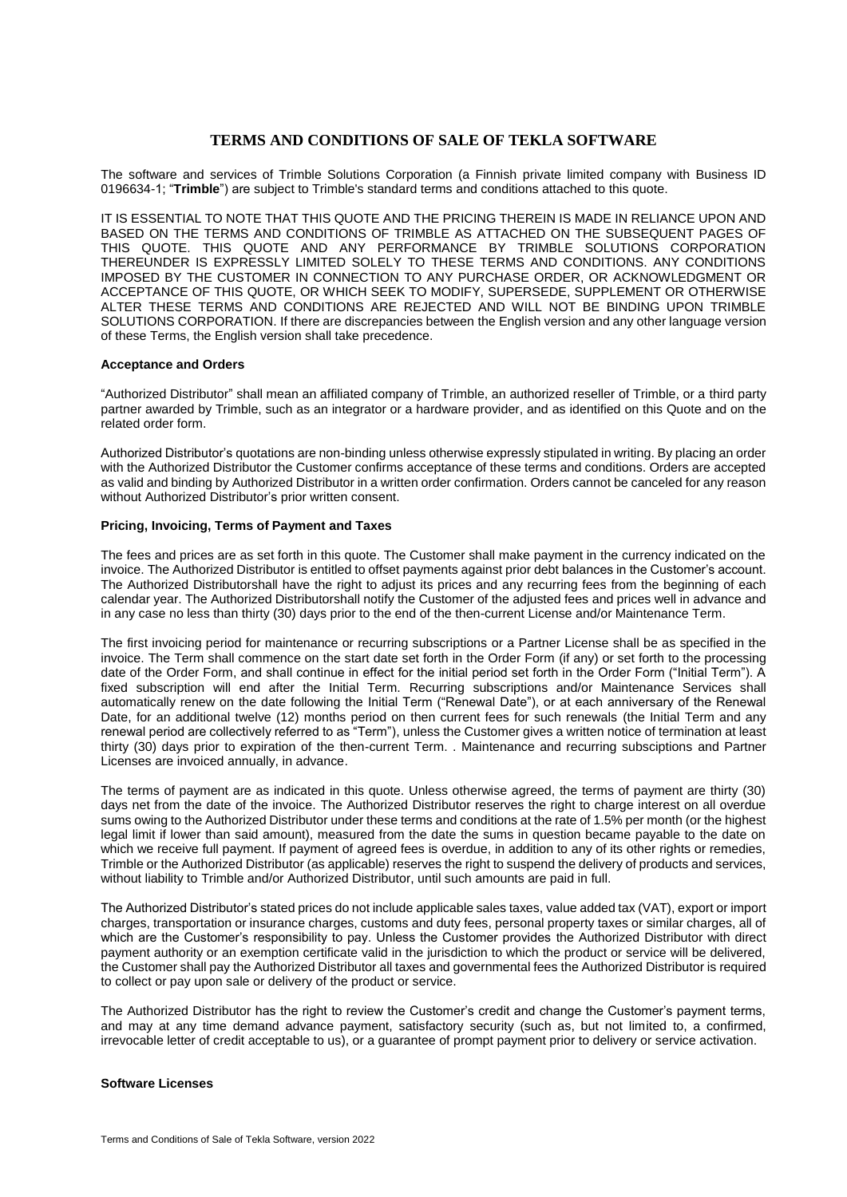# **TERMS AND CONDITIONS OF SALE OF TEKLA SOFTWARE**

The software and services of Trimble Solutions Corporation (a Finnish private limited company with Business ID 0196634-1; "**Trimble**") are subject to Trimble's standard terms and conditions attached to this quote.

IT IS ESSENTIAL TO NOTE THAT THIS QUOTE AND THE PRICING THEREIN IS MADE IN RELIANCE UPON AND BASED ON THE TERMS AND CONDITIONS OF TRIMBLE AS ATTACHED ON THE SUBSEQUENT PAGES OF THIS QUOTE. THIS QUOTE AND ANY PERFORMANCE BY TRIMBLE SOLUTIONS CORPORATION THEREUNDER IS EXPRESSLY LIMITED SOLELY TO THESE TERMS AND CONDITIONS. ANY CONDITIONS IMPOSED BY THE CUSTOMER IN CONNECTION TO ANY PURCHASE ORDER, OR ACKNOWLEDGMENT OR ACCEPTANCE OF THIS QUOTE, OR WHICH SEEK TO MODIFY, SUPERSEDE, SUPPLEMENT OR OTHERWISE ALTER THESE TERMS AND CONDITIONS ARE REJECTED AND WILL NOT BE BINDING UPON TRIMBLE SOLUTIONS CORPORATION. If there are discrepancies between the English version and any other language version of these Terms, the English version shall take precedence.

# **Acceptance and Orders**

"Authorized Distributor" shall mean an affiliated company of Trimble, an authorized reseller of Trimble, or a third party partner awarded by Trimble, such as an integrator or a hardware provider, and as identified on this Quote and on the related order form.

Authorized Distributor's quotations are non-binding unless otherwise expressly stipulated in writing. By placing an order with the Authorized Distributor the Customer confirms acceptance of these terms and conditions. Orders are accepted as valid and binding by Authorized Distributor in a written order confirmation. Orders cannot be canceled for any reason without Authorized Distributor's prior written consent.

# **Pricing, Invoicing, Terms of Payment and Taxes**

The fees and prices are as set forth in this quote. The Customer shall make payment in the currency indicated on the invoice. The Authorized Distributor is entitled to offset payments against prior debt balances in the Customer's account. The Authorized Distributorshall have the right to adjust its prices and any recurring fees from the beginning of each calendar year. The Authorized Distributorshall notify the Customer of the adjusted fees and prices well in advance and in any case no less than thirty (30) days prior to the end of the then-current License and/or Maintenance Term.

The first invoicing period for maintenance or recurring subscriptions or a Partner License shall be as specified in the invoice. The Term shall commence on the start date set forth in the Order Form (if any) or set forth to the processing date of the Order Form, and shall continue in effect for the initial period set forth in the Order Form ("Initial Term"). A fixed subscription will end after the Initial Term. Recurring subscriptions and/or Maintenance Services shall automatically renew on the date following the Initial Term ("Renewal Date"), or at each anniversary of the Renewal Date, for an additional twelve (12) months period on then current fees for such renewals (the Initial Term and any renewal period are collectively referred to as "Term"), unless the Customer gives a written notice of termination at least thirty (30) days prior to expiration of the then-current Term. . Maintenance and recurring subsciptions and Partner Licenses are invoiced annually, in advance.

The terms of payment are as indicated in this quote. Unless otherwise agreed, the terms of payment are thirty (30) days net from the date of the invoice. The Authorized Distributor reserves the right to charge interest on all overdue sums owing to the Authorized Distributor under these terms and conditions at the rate of 1.5% per month (or the highest legal limit if lower than said amount), measured from the date the sums in question became payable to the date on which we receive full payment. If payment of agreed fees is overdue, in addition to any of its other rights or remedies, Trimble or the Authorized Distributor (as applicable) reserves the right to suspend the delivery of products and services, without liability to Trimble and/or Authorized Distributor, until such amounts are paid in full.

The Authorized Distributor's stated prices do not include applicable sales taxes, value added tax (VAT), export or import charges, transportation or insurance charges, customs and duty fees, personal property taxes or similar charges, all of which are the Customer's responsibility to pay. Unless the Customer provides the Authorized Distributor with direct payment authority or an exemption certificate valid in the jurisdiction to which the product or service will be delivered, the Customer shall pay the Authorized Distributor all taxes and governmental fees the Authorized Distributor is required to collect or pay upon sale or delivery of the product or service.

The Authorized Distributor has the right to review the Customer's credit and change the Customer's payment terms, and may at any time demand advance payment, satisfactory security (such as, but not limited to, a confirmed, irrevocable letter of credit acceptable to us), or a guarantee of prompt payment prior to delivery or service activation.

#### **Software Licenses**